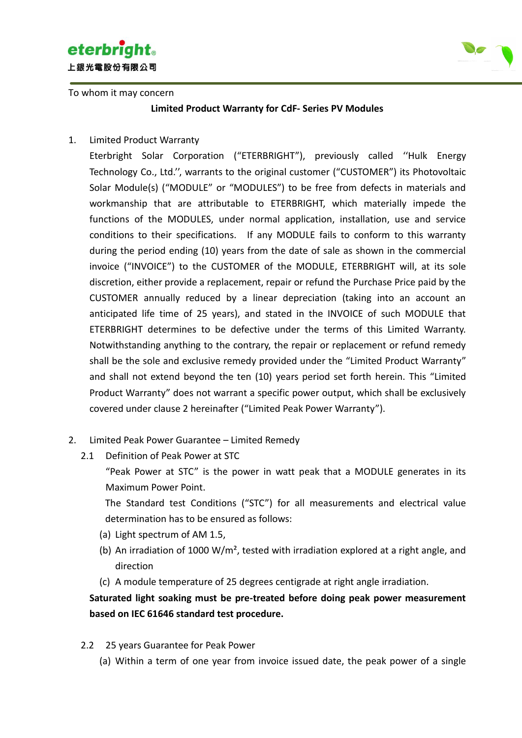

To whom it may concern



**Limited Product Warranty for CdF- Series PV Modules**

1. Limited Product Warranty

Eterbright Solar Corporation ("ETERBRIGHT"), previously called ''Hulk Energy Technology Co., Ltd.'', warrants to the original customer ("CUSTOMER") its Photovoltaic Solar Module(s) ("MODULE" or "MODULES") to be free from defects in materials and workmanship that are attributable to ETERBRIGHT, which materially impede the functions of the MODULES, under normal application, installation, use and service conditions to their specifications. If any MODULE fails to conform to this warranty during the period ending (10) years from the date of sale as shown in the commercial invoice ("INVOICE") to the CUSTOMER of the MODULE, ETERBRIGHT will, at its sole discretion, either provide a replacement, repair or refund the Purchase Price paid by the CUSTOMER annually reduced by a linear depreciation (taking into an account an anticipated life time of 25 years), and stated in the INVOICE of such MODULE that ETERBRIGHT determines to be defective under the terms of this Limited Warranty. Notwithstanding anything to the contrary, the repair or replacement or refund remedy shall be the sole and exclusive remedy provided under the "Limited Product Warranty" and shall not extend beyond the ten (10) years period set forth herein. This "Limited Product Warranty" does not warrant a specific power output, which shall be exclusively covered under clause 2 hereinafter ("Limited Peak Power Warranty").

- 2. Limited Peak Power Guarantee Limited Remedy
	- 2.1 Definition of Peak Power at STC

"Peak Power at STC" is the power in watt peak that a MODULE generates in its Maximum Power Point.

The Standard test Conditions ("STC") for all measurements and electrical value determination has to be ensured as follows:

- (a) Light spectrum of AM 1.5,
- (b) An irradiation of 1000 W/m<sup>2</sup>, tested with irradiation explored at a right angle, and direction
- (c) A module temperature of 25 degrees centigrade at right angle irradiation.

### **Saturated light soaking must be pre-treated before doing peak power measurement based on IEC 61646 standard test procedure.**

- 2.2 25 years Guarantee for Peak Power
	- (a) Within a term of one year from invoice issued date, the peak power of a single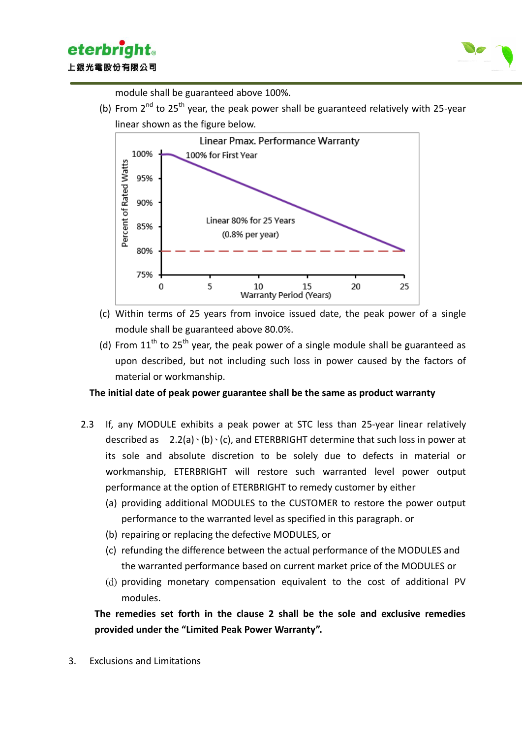



module shall be guaranteed above 100%.

(b) From  $2^{nd}$  to 25<sup>th</sup> year, the peak power shall be guaranteed relatively with 25-year linear shown as the figure below.



- (c) Within terms of 25 years from invoice issued date, the peak power of a single module shall be guaranteed above 80.0%.
- (d) From  $11<sup>th</sup>$  to 25<sup>th</sup> year, the peak power of a single module shall be guaranteed as upon described, but not including such loss in power caused by the factors of material or workmanship.

#### **The initial date of peak power guarantee shall be the same as product warranty**

- 2.3 If, any MODULE exhibits a peak power at STC less than 25-year linear relatively described as  $2.2(a)$  (b)  $\cdot$  (c), and ETERBRIGHT determine that such loss in power at its sole and absolute discretion to be solely due to defects in material or workmanship, ETERBRIGHT will restore such warranted level power output performance at the option of ETERBRIGHT to remedy customer by either
	- (a) providing additional MODULES to the CUSTOMER to restore the power output performance to the warranted level as specified in this paragraph. or
	- (b) repairing or replacing the defective MODULES, or
	- (c) refunding the difference between the actual performance of the MODULES and the warranted performance based on current market price of the MODULES or
	- (d) providing monetary compensation equivalent to the cost of additional PV modules.

**The remedies set forth in the clause 2 shall be the sole and exclusive remedies provided under the "Limited Peak Power Warranty".**

3. Exclusions and Limitations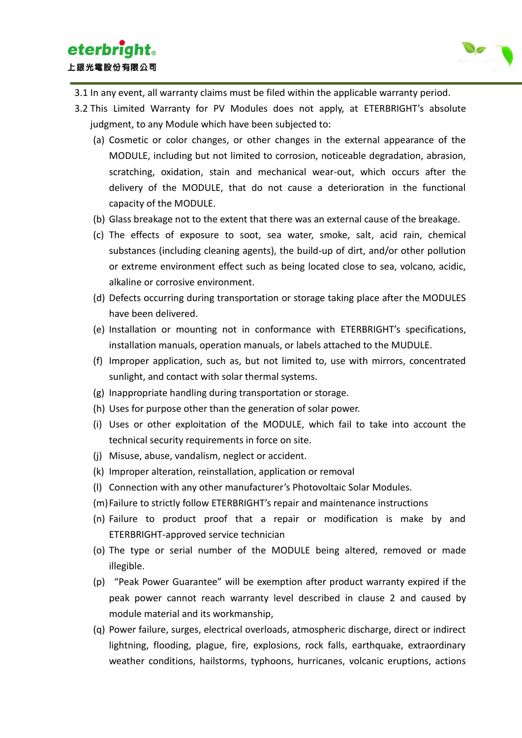

- 3.1 In any event, all warranty claims must be filed within the applicable warranty period.
- 3.2 This Limited Warranty for PV Modules does not apply, at ETERBRIGHT's absolute judgment, to any Module which have been subjected to:
	- (a) Cosmetic or color changes, or other changes in the external appearance of the MODULE, including but not limited to corrosion, noticeable degradation, abrasion, scratching, oxidation, stain and mechanical wear-out, which occurs after the delivery of the MODULE, that do not cause a deterioration in the functional capacity of the MODULE.
	- (b) Glass breakage not to the extent that there was an external cause of the breakage.
	- (c) The effects of exposure to soot, sea water, smoke, salt, acid rain, chemical substances (including cleaning agents), the build-up of dirt, and/or other pollution or extreme environment effect such as being located close to sea, volcano, acidic, alkaline or corrosive environment.
	- (d) Defects occurring during transportation or storage taking place after the MODULES have been delivered.
	- (e) Installation or mounting not in conformance with ETERBRIGHT's specifications, installation manuals, operation manuals, or labels attached to the MUDULE.
	- (f) Improper application, such as, but not limited to, use with mirrors, concentrated sunlight, and contact with solar thermal systems.
	- (g) Inappropriate handling during transportation or storage.
	- (h) Uses for purpose other than the generation of solar power.
	- (i) Uses or other exploitation of the MODULE, which fail to take into account the technical security requirements in force on site.
	- (j) Misuse, abuse, vandalism, neglect or accident.
	- (k) Improper alteration, reinstallation, application or removal
	- (l) Connection with any other manufacturer's Photovoltaic Solar Modules.
	- (m)Failure to strictly follow ETERBRIGHT's repair and maintenance instructions
	- (n) Failure to product proof that a repair or modification is make by and ETERBRIGHT-approved service technician
	- (o) The type or serial number of the MODULE being altered, removed or made illegible.
	- (p) "Peak Power Guarantee" will be exemption after product warranty expired if the peak power cannot reach warranty level described in clause 2 and caused by module material and its workmanship,
	- (q) Power failure, surges, electrical overloads, atmospheric discharge, direct or indirect lightning, flooding, plague, fire, explosions, rock falls, earthquake, extraordinary weather conditions, hailstorms, typhoons, hurricanes, volcanic eruptions, actions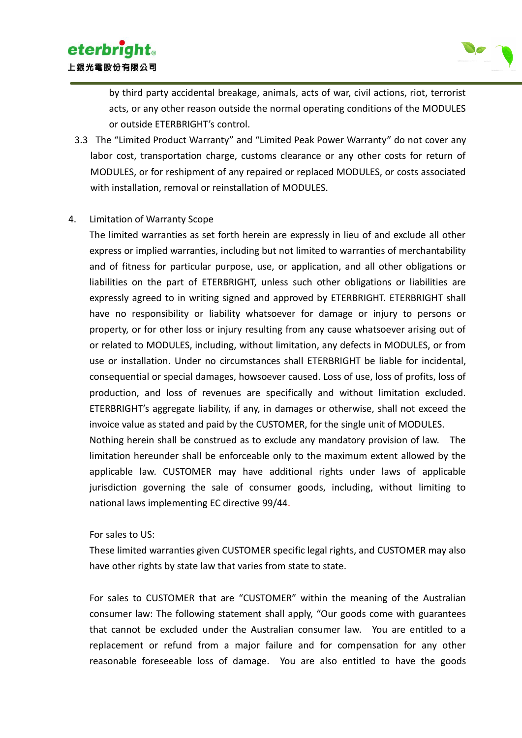

by third party accidental breakage, animals, acts of war, civil actions, riot, terrorist acts, or any other reason outside the normal operating conditions of the MODULES or outside ETERBRIGHT's control.

3.3 The "Limited Product Warranty" and "Limited Peak Power Warranty" do not cover any labor cost, transportation charge, customs clearance or any other costs for return of MODULES, or for reshipment of any repaired or replaced MODULES, or costs associated with installation, removal or reinstallation of MODULES.

#### 4. Limitation of Warranty Scope

The limited warranties as set forth herein are expressly in lieu of and exclude all other express or implied warranties, including but not limited to warranties of merchantability and of fitness for particular purpose, use, or application, and all other obligations or liabilities on the part of ETERBRIGHT, unless such other obligations or liabilities are expressly agreed to in writing signed and approved by ETERBRIGHT. ETERBRIGHT shall have no responsibility or liability whatsoever for damage or injury to persons or property, or for other loss or injury resulting from any cause whatsoever arising out of or related to MODULES, including, without limitation, any defects in MODULES, or from use or installation. Under no circumstances shall ETERBRIGHT be liable for incidental, consequential or special damages, howsoever caused. Loss of use, loss of profits, loss of production, and loss of revenues are specifically and without limitation excluded. ETERBRIGHT's aggregate liability, if any, in damages or otherwise, shall not exceed the invoice value as stated and paid by the CUSTOMER, for the single unit of MODULES.

Nothing herein shall be construed as to exclude any mandatory provision of law. The limitation hereunder shall be enforceable only to the maximum extent allowed by the applicable law. CUSTOMER may have additional rights under laws of applicable jurisdiction governing the sale of consumer goods, including, without limiting to national laws implementing EC directive 99/44.

For sales to US:

These limited warranties given CUSTOMER specific legal rights, and CUSTOMER may also have other rights by state law that varies from state to state.

For sales to CUSTOMER that are "CUSTOMER" within the meaning of the Australian consumer law: The following statement shall apply, "Our goods come with guarantees that cannot be excluded under the Australian consumer law. You are entitled to a replacement or refund from a major failure and for compensation for any other reasonable foreseeable loss of damage. You are also entitled to have the goods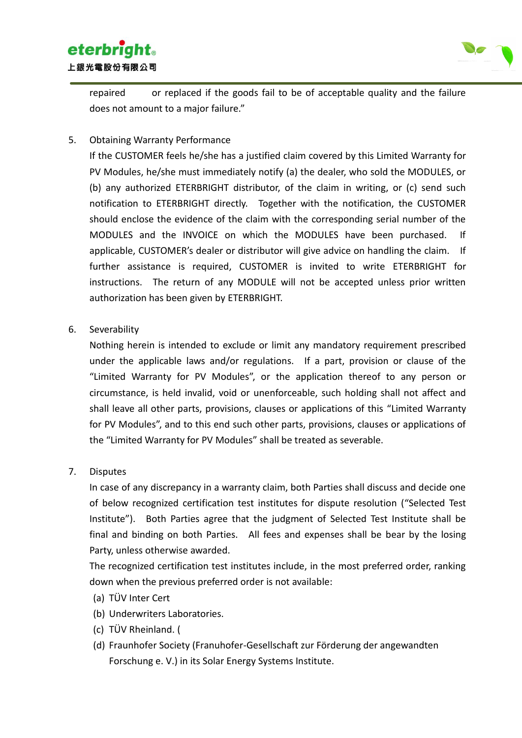# **eterbright**. 上銀光電股份有限公司



repaired or replaced if the goods fail to be of acceptable quality and the failure does not amount to a major failure."

5. Obtaining Warranty Performance

If the CUSTOMER feels he/she has a justified claim covered by this Limited Warranty for PV Modules, he/she must immediately notify (a) the dealer, who sold the MODULES, or (b) any authorized ETERBRIGHT distributor, of the claim in writing, or (c) send such notification to ETERBRIGHT directly. Together with the notification, the CUSTOMER should enclose the evidence of the claim with the corresponding serial number of the MODULES and the INVOICE on which the MODULES have been purchased. If applicable, CUSTOMER's dealer or distributor will give advice on handling the claim. If further assistance is required, CUSTOMER is invited to write ETERBRIGHT for instructions. The return of any MODULE will not be accepted unless prior written authorization has been given by ETERBRIGHT.

6. Severability

Nothing herein is intended to exclude or limit any mandatory requirement prescribed under the applicable laws and/or regulations. If a part, provision or clause of the "Limited Warranty for PV Modules", or the application thereof to any person or circumstance, is held invalid, void or unenforceable, such holding shall not affect and shall leave all other parts, provisions, clauses or applications of this "Limited Warranty for PV Modules", and to this end such other parts, provisions, clauses or applications of the "Limited Warranty for PV Modules" shall be treated as severable.

7. Disputes

In case of any discrepancy in a warranty claim, both Parties shall discuss and decide one of below recognized certification test institutes for dispute resolution ("Selected Test Institute"). Both Parties agree that the judgment of Selected Test Institute shall be final and binding on both Parties. All fees and expenses shall be bear by the losing Party, unless otherwise awarded.

The recognized certification test institutes include, in the most preferred order, ranking down when the previous preferred order is not available:

- (a) TÜV Inter Cert
- (b) Underwriters Laboratories.
- (c) TÜV Rheinland. (
- (d) Fraunhofer Society (Franuhofer-Gesellschaft zur Förderung der angewandten Forschung e. V.) in its Solar Energy Systems Institute.